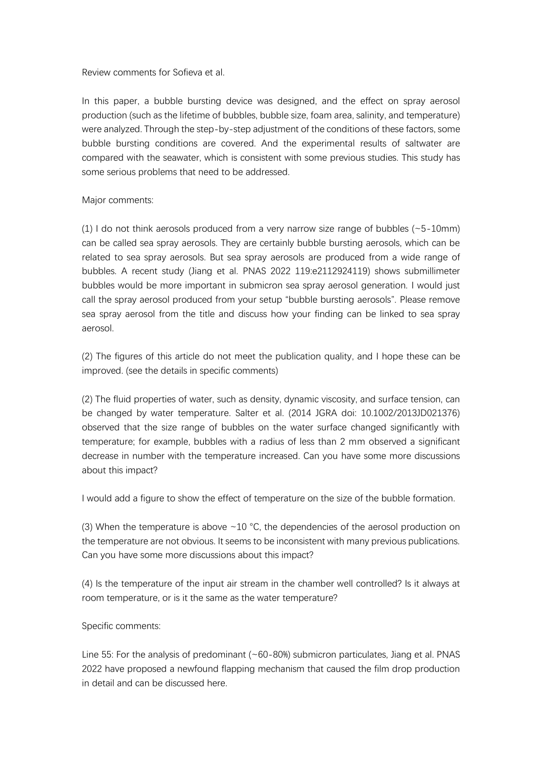## Review comments for Sofieva et al.

In this paper, a bubble bursting device was designed, and the effect on spray aerosol production (such as the lifetime of bubbles, bubble size, foam area, salinity, and temperature) were analyzed. Through the step-by-step adjustment of the conditions of these factors, some bubble bursting conditions are covered. And the experimental results of saltwater are compared with the seawater, which is consistent with some previous studies. This study has some serious problems that need to be addressed.

## Major comments:

(1) I do not think aerosols produced from a very narrow size range of bubbles  $(-5-10$ mm) can be called sea spray aerosols. They are certainly bubble bursting aerosols, which can be related to sea spray aerosols. But sea spray aerosols are produced from a wide range of bubbles. A recent study (Jiang et al. PNAS 2022 119:e2112924119) shows submillimeter bubbles would be more important in submicron sea spray aerosol generation. I would just call the spray aerosol produced from your setup "bubble bursting aerosols". Please remove sea spray aerosol from the title and discuss how your finding can be linked to sea spray aerosol.

(2) The figures of this article do not meet the publication quality, and I hope these can be improved. (see the details in specific comments)

(2) The fluid properties of water, such as density, dynamic viscosity, and surface tension, can be changed by water temperature. Salter et al. (2014 JGRA doi: 10.1002/2013JD021376) observed that the size range of bubbles on the water surface changed significantly with temperature; for example, bubbles with a radius of less than 2 mm observed a significant decrease in number with the temperature increased. Can you have some more discussions about this impact?

I would add a figure to show the effect of temperature on the size of the bubble formation.

(3) When the temperature is above  $\sim$  10 °C, the dependencies of the aerosol production on the temperature are not obvious. It seems to be inconsistent with many previous publications. Can you have some more discussions about this impact?

(4) Is the temperature of the input air stream in the chamber well controlled? Is it always at room temperature, or is it the same as the water temperature?

## Specific comments:

Line 55: For the analysis of predominant (~60-80%) submicron particulates, Jiang et al. PNAS 2022 have proposed a newfound flapping mechanism that caused the film drop production in detail and can be discussed here.